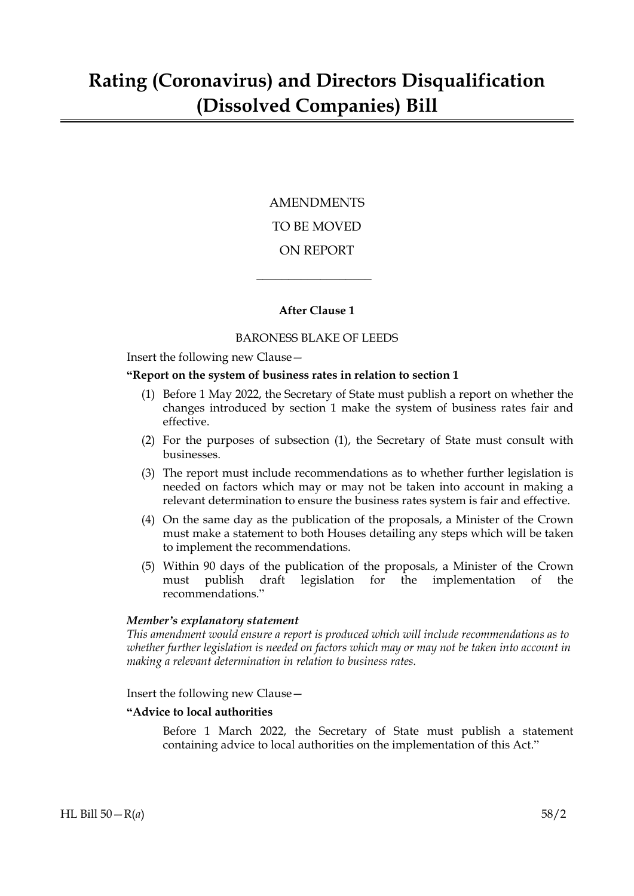# AMENDMENTS TO BE MOVED ON REPORT

# **After Clause 1**

 $\overline{\phantom{a}}$  , where  $\overline{\phantom{a}}$ 

## BARONESS BLAKE OF LEEDS

Insert the following new Clause—

#### **"Report on the system of business rates in relation to section 1**

- (1) Before 1 May 2022, the Secretary of State must publish a report on whether the changes introduced by section 1 make the system of business rates fair and effective.
- (2) For the purposes of subsection (1), the Secretary of State must consult with businesses.
- (3) The report must include recommendations as to whether further legislation is needed on factors which may or may not be taken into account in making a relevant determination to ensure the business rates system is fair and effective.
- (4) On the same day as the publication of the proposals, a Minister of the Crown must make a statement to both Houses detailing any steps which will be taken to implement the recommendations.
- (5) Within 90 days of the publication of the proposals, a Minister of the Crown must publish draft legislation for the implementation of the recommendations."

#### *Member's explanatory statement*

*This amendment would ensure a report is produced which will include recommendations as to whether further legislation is needed on factors which may or may not be taken into account in making a relevant determination in relation to business rates.*

Insert the following new Clause—

#### **"Advice to local authorities**

Before 1 March 2022, the Secretary of State must publish a statement containing advice to local authorities on the implementation of this Act."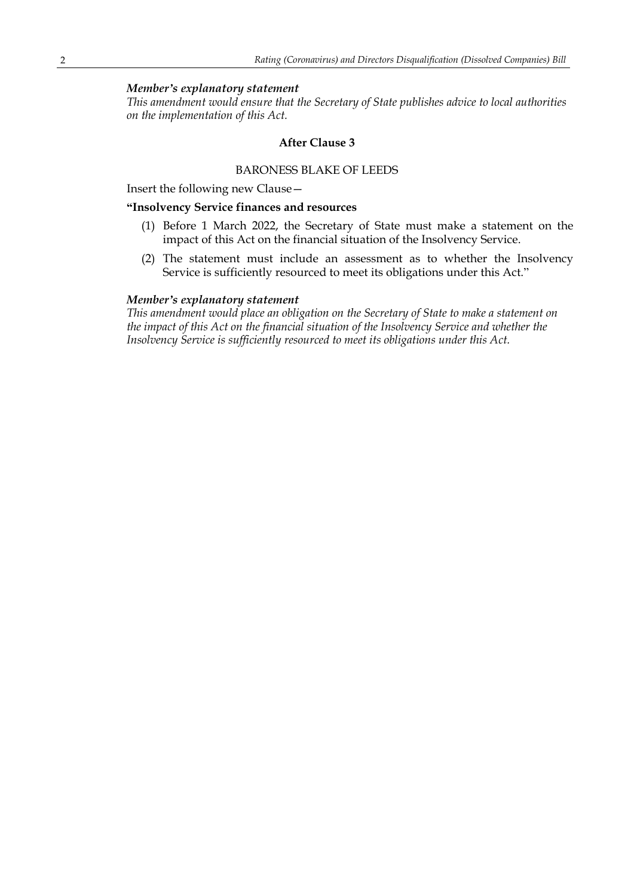### *Member's explanatory statement*

*This amendment would ensure that the Secretary of State publishes advice to local authorities on the implementation of this Act.*

#### **After Clause 3**

#### BARONESS BLAKE OF LEEDS

Insert the following new Clause—

### **"Insolvency Service finances and resources**

- (1) Before 1 March 2022, the Secretary of State must make a statement on the impact of this Act on the financial situation of the Insolvency Service.
- (2) The statement must include an assessment as to whether the Insolvency Service is sufficiently resourced to meet its obligations under this Act."

#### *Member's explanatory statement*

*This amendment would place an obligation on the Secretary of State to make a statement on the impact of this Act on the financial situation of the Insolvency Service and whether the Insolvency Service is sufficiently resourced to meet its obligations under this Act.*